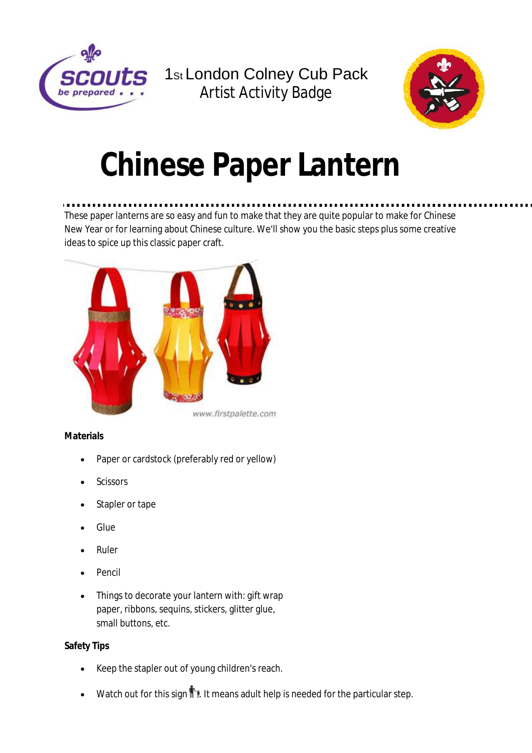

1st London Colney Cub Pack Artist Activity Badge



# **Chinese Paper Lantern**

# These paper lanterns are so easy and fun to make that they are quite popular to make for Chinese New Year or for learning about Chinese culture. We'll show you the basic steps plus some creative ideas to spice up this classic paper craft.



#### www.firstpalette.com

# **Materials**

- Paper or cardstock (preferably red or yellow)
- **Scissors**
- Stapler or tape
- Glue
- Ruler
- Pencil
- Things to decorate your lantern with: gift wrap paper, ribbons, sequins, stickers, glitter glue, small buttons, etc.

# **Safety Tips**

- Keep the stapler out of young children's reach.
- Watch out for this sign  $\mathbb{R}$ . It means adult help is needed for the particular step.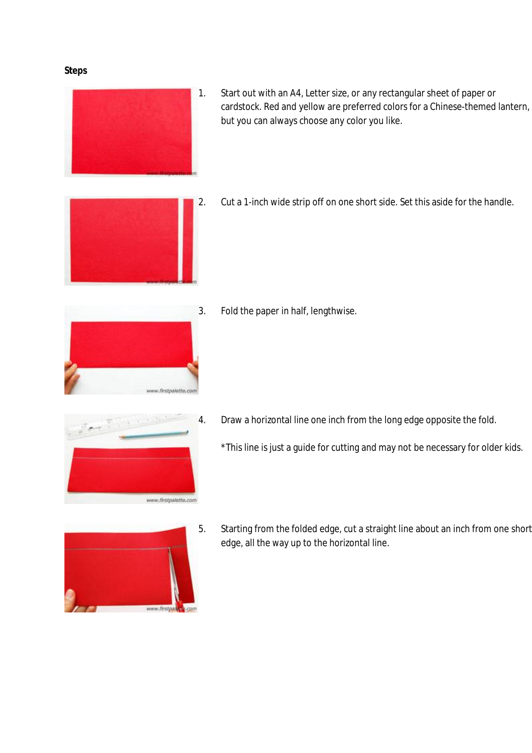#### **Steps**



1. Start out with an A4, Letter size, or any rectangular sheet of paper or cardstock. Red and yellow are preferred colors for a Chinese-themed lantern, but you can always choose any color you like.



2. Cut a 1-inch wide strip off on one short side. Set this aside for the handle.



3. Fold the paper in half, lengthwise.



- 4. Draw a horizontal line one inch from the long edge opposite the fold.
	- \*This line is just a guide for cutting and may not be necessary for older kids.



5. Starting from the folded edge, cut a straight line about an inch from one short edge, all the way up to the horizontal line.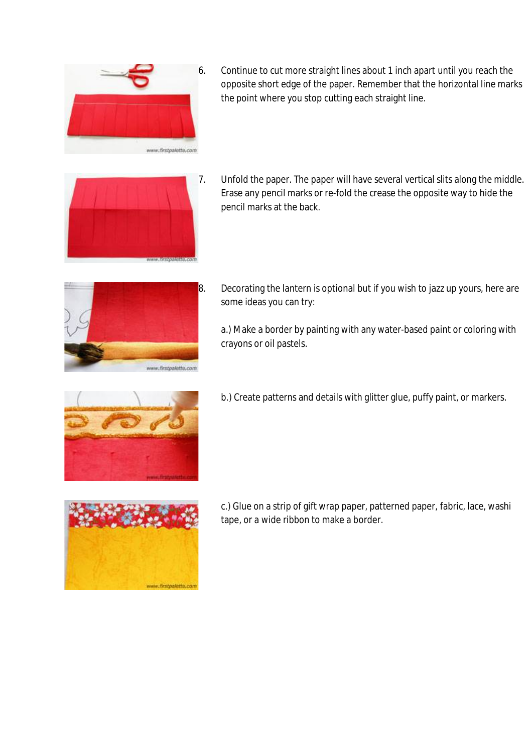

6. Continue to cut more straight lines about 1 inch apart until you reach the opposite short edge of the paper. Remember that the horizontal line marks the point where you stop cutting each straight line.



7. Unfold the paper. The paper will have several vertical slits along the middle. Erase any pencil marks or re-fold the crease the opposite way to hide the pencil marks at the back.



 $8.$  Decorating the lantern is optional but if you wish to jazz up yours, here are some ideas you can try:

a.) Make a border by painting with any water-based paint or coloring with crayons or oil pastels.



b.) Create patterns and details with glitter glue, puffy paint, or markers.



c.) Glue on a strip of gift wrap paper, patterned paper, fabric, lace, washi tape, or a wide ribbon to make a border.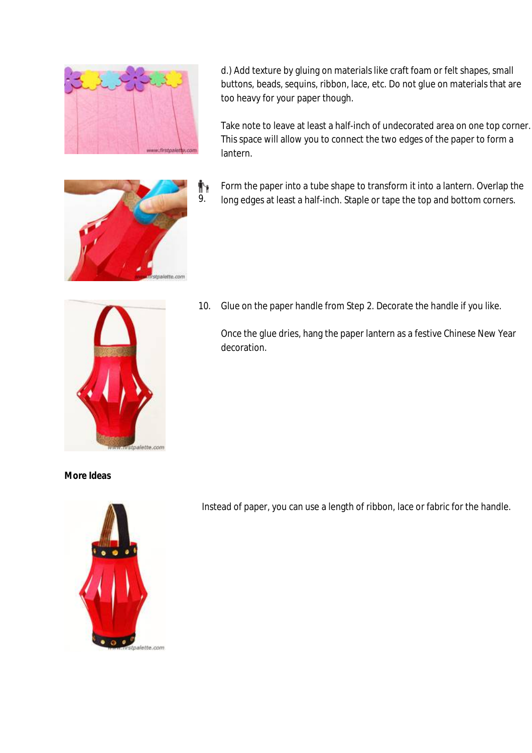

9.

tte com

Ť۲

d.) Add texture by gluing on materials like craft foam or felt shapes, small buttons, beads, sequins, ribbon, lace, etc. Do not glue on materials that are too heavy for your paper though.

Take note to leave at least a half-inch of undecorated area on one top corner. This space will allow you to connect the two edges of the paper to form a lantern.

Form the paper into a tube shape to transform it into a lantern. Overlap the long edges at least a half-inch. Staple or tape the top and bottom corners.



10. Glue on the paper handle from Step 2. Decorate the handle if you like.

Once the glue dries, hang the paper lantern as a festive Chinese New Year decoration.

### **More Ideas**



Instead of paper, you can use a length of ribbon, lace or fabric for the handle.